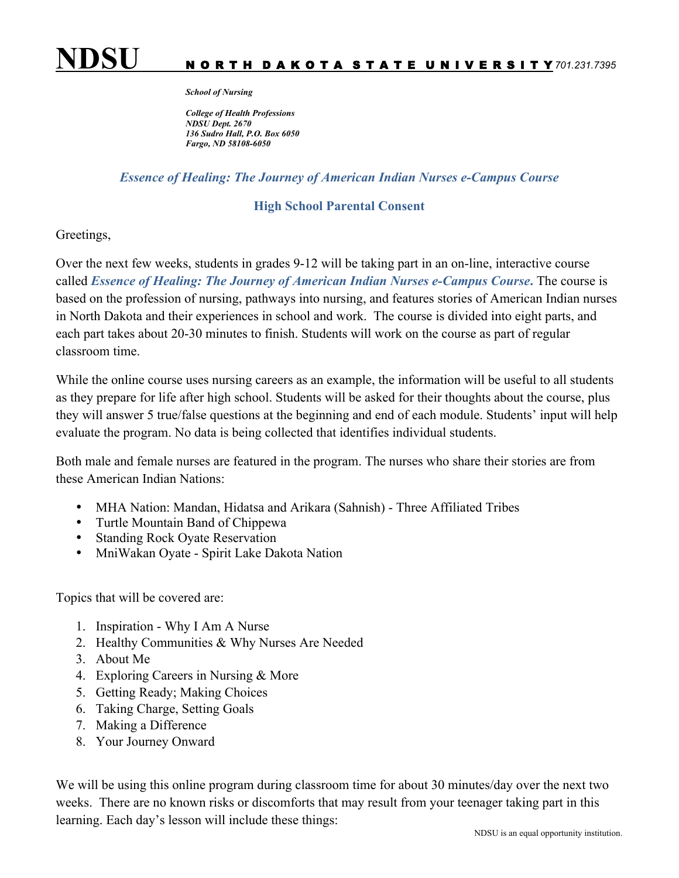

## *School of Nursing*

*College of Health Professions NDSU Dept. 2670 136 Sudro Hall, P.O. Box 6050 Fargo, ND 58108-6050*

## *Essence of Healing: The Journey of American Indian Nurses e-Campus Course*

## **High School Parental Consent**

## Greetings,

Over the next few weeks, students in grades 9-12 will be taking part in an on-line, interactive course called *Essence of Healing: The Journey of American Indian Nurses e-Campus Course***.** The course is based on the profession of nursing, pathways into nursing, and features stories of American Indian nurses in North Dakota and their experiences in school and work. The course is divided into eight parts, and each part takes about 20-30 minutes to finish. Students will work on the course as part of regular classroom time.

While the online course uses nursing careers as an example, the information will be useful to all students as they prepare for life after high school. Students will be asked for their thoughts about the course, plus they will answer 5 true/false questions at the beginning and end of each module. Students' input will help evaluate the program. No data is being collected that identifies individual students.

Both male and female nurses are featured in the program. The nurses who share their stories are from these American Indian Nations:

- MHA Nation: Mandan, Hidatsa and Arikara (Sahnish) Three Affiliated Tribes
- Turtle Mountain Band of Chippewa
- **Standing Rock Oyate Reservation**
- MniWakan Oyate Spirit Lake Dakota Nation

Topics that will be covered are:

- 1. Inspiration Why I Am A Nurse
- 2. Healthy Communities & Why Nurses Are Needed
- 3. About Me
- 4. Exploring Careers in Nursing & More
- 5. Getting Ready; Making Choices
- 6. Taking Charge, Setting Goals
- 7. Making a Difference
- 8. Your Journey Onward

We will be using this online program during classroom time for about 30 minutes/day over the next two weeks. There are no known risks or discomforts that may result from your teenager taking part in this learning. Each day's lesson will include these things: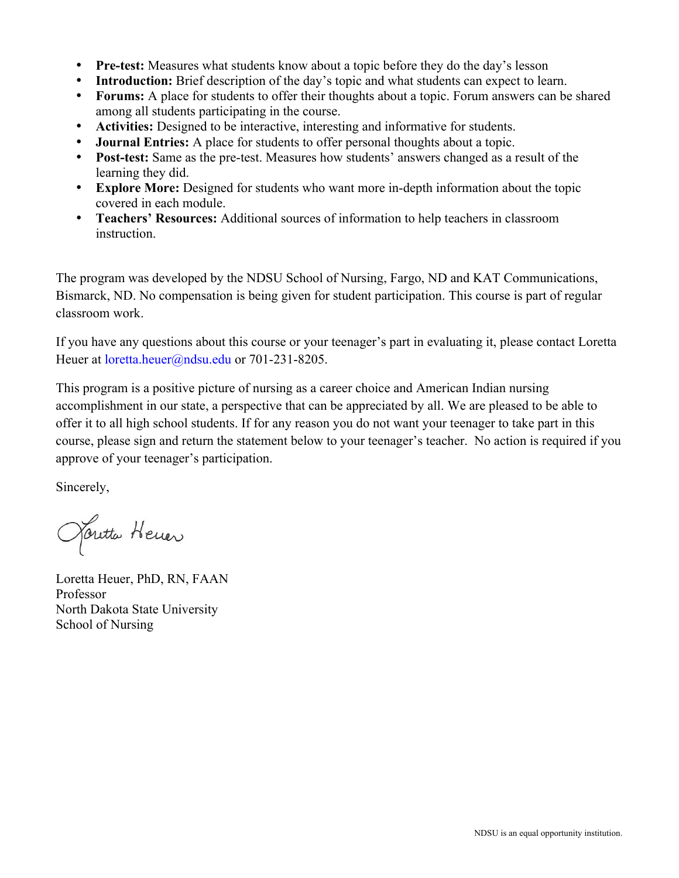- **Pre-test:** Measures what students know about a topic before they do the day's lesson
- **Introduction:** Brief description of the day's topic and what students can expect to learn.
- **Forums:** A place for students to offer their thoughts about a topic. Forum answers can be shared among all students participating in the course.
- **Activities:** Designed to be interactive, interesting and informative for students.
- **Journal Entries:** A place for students to offer personal thoughts about a topic.
- **Post-test:** Same as the pre-test. Measures how students' answers changed as a result of the learning they did.
- **Explore More:** Designed for students who want more in-depth information about the topic covered in each module.
- **Teachers' Resources:** Additional sources of information to help teachers in classroom instruction.

The program was developed by the NDSU School of Nursing, Fargo, ND and KAT Communications, Bismarck, ND. No compensation is being given for student participation. This course is part of regular classroom work.

If you have any questions about this course or your teenager's part in evaluating it, please contact Loretta Heuer at *loretta.heuer@ndsu.edu* or 701-231-8205.

This program is a positive picture of nursing as a career choice and American Indian nursing accomplishment in our state, a perspective that can be appreciated by all. We are pleased to be able to offer it to all high school students. If for any reason you do not want your teenager to take part in this course, please sign and return the statement below to your teenager's teacher. No action is required if you approve of your teenager's participation.

Sincerely,

Janetta Hener

Loretta Heuer, PhD, RN, FAAN Professor North Dakota State University School of Nursing